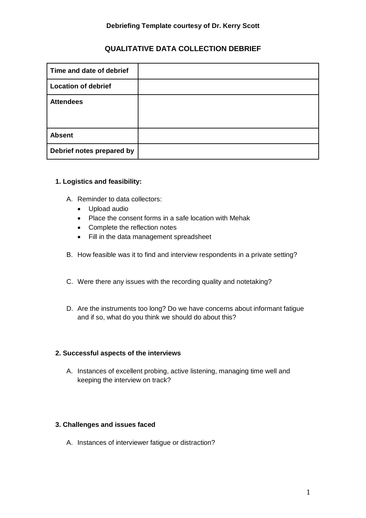# **QUALITATIVE DATA COLLECTION DEBRIEF**

| Time and date of debrief   |  |
|----------------------------|--|
| <b>Location of debrief</b> |  |
| <b>Attendees</b>           |  |
|                            |  |
| <b>Absent</b>              |  |
| Debrief notes prepared by  |  |

### **1. Logistics and feasibility:**

- A. Reminder to data collectors:
	- Upload audio
	- Place the consent forms in a safe location with Mehak
	- Complete the reflection notes
	- Fill in the data management spreadsheet
- B. How feasible was it to find and interview respondents in a private setting?
- C. Were there any issues with the recording quality and notetaking?
- D. Are the instruments too long? Do we have concerns about informant fatigue and if so, what do you think we should do about this?

### **2. Successful aspects of the interviews**

A. Instances of excellent probing, active listening, managing time well and keeping the interview on track?

### **3. Challenges and issues faced**

A. Instances of interviewer fatigue or distraction?